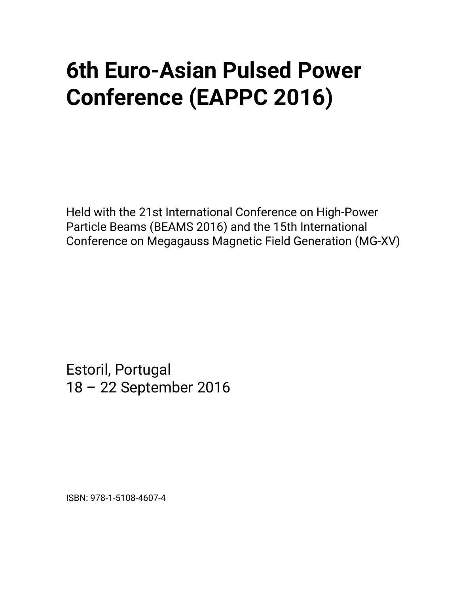## **6th Euro-Asian Pulsed Power Conference (EAPPC 2016)**

Held with the 21st International Conference on High-Power Particle Beams (BEAMS 2016) and the 15th International Conference on Megagauss Magnetic Field Generation (MG-XV)

Estoril, Portugal 18 – 22 September 2016

ISBN: 978-1-5108-4607-4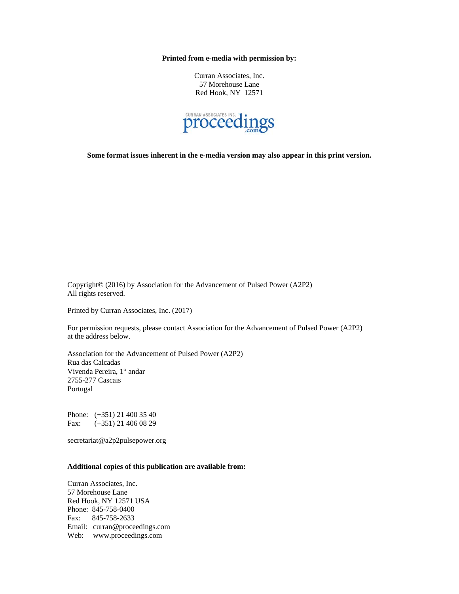**Printed from e-media with permission by:** 

Curran Associates, Inc. 57 Morehouse Lane Red Hook, NY 12571



**Some format issues inherent in the e-media version may also appear in this print version.** 

Copyright© (2016) by Association for the Advancement of Pulsed Power (A2P2) All rights reserved.

Printed by Curran Associates, Inc. (2017)

For permission requests, please contact Association for the Advancement of Pulsed Power (A2P2) at the address below.

Association for the Advancement of Pulsed Power (A2P2) Rua das Calcadas Vivenda Pereira, 1° andar 2755-277 Cascais Portugal

Phone: (+351) 21 400 35 40 Fax: (+351) 21 406 08 29

secretariat@a2p2pulsepower.org

## **Additional copies of this publication are available from:**

Curran Associates, Inc. 57 Morehouse Lane Red Hook, NY 12571 USA Phone: 845-758-0400 Fax: 845-758-2633 Email: curran@proceedings.com Web: www.proceedings.com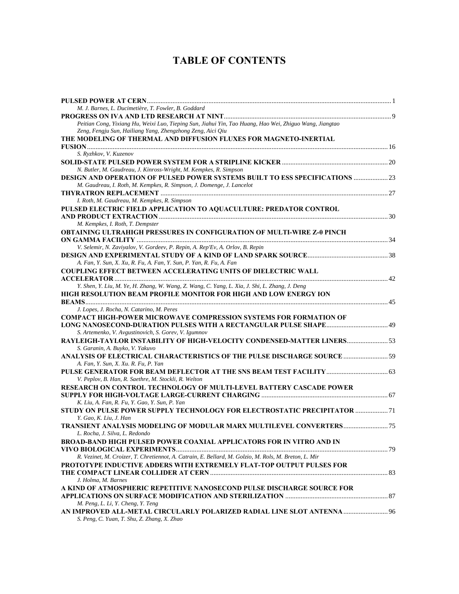## **TABLE OF CONTENTS**

| M. J. Barnes, L. Ducimetière, T. Fowler, B. Goddard                                                                                                                   |  |
|-----------------------------------------------------------------------------------------------------------------------------------------------------------------------|--|
|                                                                                                                                                                       |  |
| Peitian Cong, Yixiang Hu, Weixi Luo, Tieping Sun, Jiahui Yin, Tao Huang, Hao Wei, Zhiguo Wang, Jiangtao<br>Zeng, Fengju Sun, Hailiang Yang, Zhengzhong Zeng, Aici Qiu |  |
| THE MODELING OF THERMAL AND DIFFUSION FLUXES FOR MAGNETO-INERTIAL                                                                                                     |  |
|                                                                                                                                                                       |  |
| S. Ryzhkov, V. Kuzenov                                                                                                                                                |  |
|                                                                                                                                                                       |  |
| N. Butler, M. Gaudreau, J. Kinross-Wright, M. Kempkes, R. Simpson                                                                                                     |  |
| <b>DESIGN AND OPERATION OF PULSED POWER SYSTEMS BUILT TO ESS SPECIFICATIONS  23</b>                                                                                   |  |
| M. Gaudreau, I. Roth, M. Kempkes, R. Simpson, J. Domenge, J. Lancelot                                                                                                 |  |
|                                                                                                                                                                       |  |
| I. Roth, M. Gaudreau, M. Kempkes, R. Simpson                                                                                                                          |  |
| PULSED ELECTRIC FIELD APPLICATION TO AQUACULTURE: PREDATOR CONTROL                                                                                                    |  |
| M. Kempkes, I. Roth, T. Dempster                                                                                                                                      |  |
| <b>OBTAINING ULTRAHIGH PRESSURES IN CONFIGURATION OF MULTI-WIRE Z-0 PINCH</b>                                                                                         |  |
|                                                                                                                                                                       |  |
| V. Selemir, N. Zaviyalov, V. Gordeev, P. Repin, A. Rep'Ev, A. Orlov, B. Repin                                                                                         |  |
|                                                                                                                                                                       |  |
| A. Fan, Y. Sun, X. Xu, R. Fu, A. Fan, Y. Sun, P. Yan, R. Fu, A. Fan                                                                                                   |  |
| <b>COUPLING EFFECT BETWEEN ACCELERATING UNITS OF DIELECTRIC WALL</b>                                                                                                  |  |
|                                                                                                                                                                       |  |
| Y. Shen, Y. Liu, M. Ye, H. Zhang, W. Wang, Z. Wang, C. Yang, L. Xia, J. Shi, L. Zhang, J. Deng                                                                        |  |
| <b>HIGH RESOLUTION BEAM PROFILE MONITOR FOR HIGH AND LOW ENERGY ION</b>                                                                                               |  |
|                                                                                                                                                                       |  |
| J. Lopes, J. Rocha, N. Catarino, M. Peres                                                                                                                             |  |
| <b>COMPACT HIGH-POWER MICROWAVE COMPRESSION SYSTEMS FOR FORMATION OF</b>                                                                                              |  |
|                                                                                                                                                                       |  |
| S. Artemenko, V. Avgustinovich, S. Gorev, V. Igumnov                                                                                                                  |  |
| RAYLEIGH-TAYLOR INSTABILITY OF HIGH-VELOCITY CONDENSED-MATTER LINERS                                                                                                  |  |
| S. Garanin, A. Buyko, V. Yakuvo                                                                                                                                       |  |
| ANALYSIS OF ELECTRICAL CHARACTERISTICS OF THE PULSE DISCHARGE SOURCE  59                                                                                              |  |
| A. Fan, Y. Sun, X. Xu. R. Fu, P. Yan                                                                                                                                  |  |
|                                                                                                                                                                       |  |
| V. Peplov, B. Han, R. Saethre, M. Stockli, R. Welton                                                                                                                  |  |
| <b>RESEARCH ON CONTROL TECHNOLOGY OF MULTI-LEVEL BATTERY CASCADE POWER</b>                                                                                            |  |
|                                                                                                                                                                       |  |
| K. Liu, A. Fan, R. Fu, Y. Gao, Y. Sun, P. Yan                                                                                                                         |  |
| STUDY ON PULSE POWER SUPPLY TECHNOLOGY FOR ELECTROSTATIC PRECIPITATOR  71                                                                                             |  |
| Y. Gao, K. Liu, J. Han                                                                                                                                                |  |
|                                                                                                                                                                       |  |
| L. Rocha, J. Silva, L. Redondo                                                                                                                                        |  |
| <b>BROAD-BAND HIGH PULSED POWER COAXIAL APPLICATORS FOR IN VITRO AND IN</b>                                                                                           |  |
|                                                                                                                                                                       |  |
| R. Vezinet, M. Croizer, T. Chretiennot, A. Catrain, E. Bellard, M. Golzio, M. Rols, M. Breton, L. Mir                                                                 |  |
| PROTOTYPE INDUCTIVE ADDERS WITH EXTREMELY FLAT-TOP OUTPUT PULSES FOR                                                                                                  |  |
|                                                                                                                                                                       |  |
| J. Holma, M. Barnes                                                                                                                                                   |  |
| A KIND OF ATMOSPHERIC REPETITIVE NANOSECOND PULSE DISCHARGE SOURCE FOR                                                                                                |  |
|                                                                                                                                                                       |  |
| M. Peng, L. Li, Y. Cheng, Y. Teng                                                                                                                                     |  |
| AN IMPROVED ALL-METAL CIRCULARLY POLARIZED RADIAL LINE SLOT ANTENNA  96                                                                                               |  |
| S. Peng, C. Yuan, T. Shu, Z. Zhang, X. Zhao                                                                                                                           |  |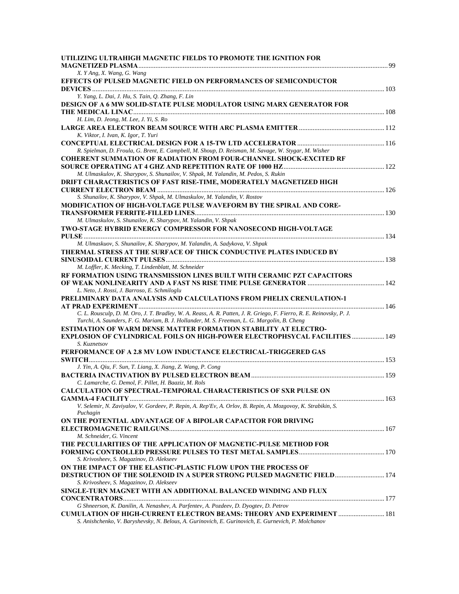| UTILIZING ULTRAHIGH MAGNETIC FIELDS TO PROMOTE THE IGNITION FOR                                                                                                                                                     |  |
|---------------------------------------------------------------------------------------------------------------------------------------------------------------------------------------------------------------------|--|
| X. Y Ang, X. Wang, G. Wang                                                                                                                                                                                          |  |
| EFFECTS OF PULSED MAGNETIC FIELD ON PERFORMANCES OF SEMICONDUCTOR                                                                                                                                                   |  |
| Y. Yang, L. Dai, J. Hu, S. Tain, Q. Zhang, F. Lin                                                                                                                                                                   |  |
| <b>DESIGN OF A 6 MW SOLID-STATE PULSE MODULATOR USING MARX GENERATOR FOR</b>                                                                                                                                        |  |
| H. Lim, D. Jeong, M. Lee, J. Yi, S. Ro                                                                                                                                                                              |  |
| K. Viktor, I. Ivan, K. Igor, T. Yuri                                                                                                                                                                                |  |
|                                                                                                                                                                                                                     |  |
| R. Spielman, D. Froula, G. Brent, E. Campbell, M. Shoup, D. Reisman, M. Savage, W. Stygar, M. Wisher<br><b>COHERENT SUMMATION OF RADIATION FROM FOUR-CHANNEL SHOCK-EXCITED RF</b>                                   |  |
| M. Ulmaskulov, K. Sharypov, S. Shunailov, V. Shpak, M. Yalandin, M. Pedos, S. Rukin                                                                                                                                 |  |
| DRIFT CHARACTERISTICS OF FAST RISE-TIME, MODERATELY MAGNETIZED HIGH                                                                                                                                                 |  |
| S. Shunailov, K. Sharypov, V. Shpak, M. Ulmaskulov, M. Yalandin, V. Rostov                                                                                                                                          |  |
| MODIFICATION OF HIGH-VOLTAGE PULSE WAVEFORM BY THE SPIRAL AND CORE-                                                                                                                                                 |  |
| M. Ulmaskulov, S. Shunailov, K. Sharypov, M. Yalandin, V. Shpak                                                                                                                                                     |  |
| TWO-STAGE HYBRID ENERGY COMPRESSOR FOR NANOSECOND HIGH-VOLTAGE                                                                                                                                                      |  |
| M. Ulmaskuov, S. Shunailov, K. Sharypov, M. Yalandin, A. Sadykova, V. Shpak                                                                                                                                         |  |
| THERMAL STRESS AT THE SURFACE OF THICK CONDUCTIVE PLATES INDUCED BY                                                                                                                                                 |  |
| M. Loffler, K. Mecking, T. Lindenblatt, M. Schneider                                                                                                                                                                |  |
| RF FORMATION USING TRANSMISSION LINES BUILT WITH CERAMIC PZT CAPACITORS                                                                                                                                             |  |
| L. Neto, J. Rossi, J. Barroso, E. Schmiloglu                                                                                                                                                                        |  |
| PRELIMINARY DATA ANALYSIS AND CALCULATIONS FROM PHELIX CRENULATION-1                                                                                                                                                |  |
| C. L. Rousculp, D. M. Oro, J. T. Bradley, W. A. Reass, A. R. Patten, J. R. Griego, F. Fierro, R. E. Reinovsky, P. J.<br>Turchi, A. Saunders, F. G. Mariam, B. J. Hollander, M. S. Freeman, L. G. Margolin, B. Cheng |  |
| <b>ESTIMATION OF WARM DENSE MATTER FORMATION STABILITY AT ELECTRO-</b><br><b>EXPLOSION OF CYLINDRICAL FOILS ON HIGH-POWER ELECTROPHSYCAL FACILITIES  149</b><br>S. Kuznetsov                                        |  |
| PERFORMANCE OF A 2.8 MV LOW INDUCTANCE ELECTRICAL-TRIGGERED GAS                                                                                                                                                     |  |
| J. Yin, A. Qiu, F. Sun, T. Liang, X. Jiang, Z. Wang, P. Cong                                                                                                                                                        |  |
|                                                                                                                                                                                                                     |  |
| C. Lamarche, G. Demol, F. Pillet, H. Baaziz, M. Rols                                                                                                                                                                |  |
| CALCULATION OF SPECTRAL-TEMPORAL CHARACTERISTICS OF SXR PULSE ON                                                                                                                                                    |  |
| V. Selemir, N. Zaviyalov, V. Gordeev, P. Repin, A. Rep'Ev, A. Orlov, B. Repin, A. Mozgovoy, K. Strabikin, S.<br>Puchagin                                                                                            |  |
| ON THE POTENTIAL ADVANTAGE OF A BIPOLAR CAPACITOR FOR DRIVING<br>M. Schneider, G. Vincent                                                                                                                           |  |
| THE PECULIARITIES OF THE APPLICATION OF MAGNETIC-PULSE METHOD FOR                                                                                                                                                   |  |
| S. Krivosheev, S. Magazinov, D. Alekseev                                                                                                                                                                            |  |
| ON THE IMPACT OF THE ELASTIC-PLASTIC FLOW UPON THE PROCESS OF                                                                                                                                                       |  |
| DESTRUCTION OF THE SOLENOID IN A SUPER STRONG PULSED MAGNETIC FIELD 174<br>S. Krivosheev, S. Magazinov, D. Alekseev                                                                                                 |  |
| SINGLE-TURN MAGNET WITH AN ADDITIONAL BALANCED WINDING AND FLUX                                                                                                                                                     |  |
|                                                                                                                                                                                                                     |  |
| G Shneerson, K. Danilin, A. Nenashev, A. Parfentev, A. Pozdeev, D. Dyogtev, D. Petrov                                                                                                                               |  |
| <b>CUMULATION OF HIGH-CURRENT ELECTRON BEAMS: THEORY AND EXPERIMENT  181</b>                                                                                                                                        |  |
| S. Anishchenko, V. Baryshevsky, N. Belous, A. Gurinovich, E. Gurinovich, E. Gurnevich, P. Molchanov                                                                                                                 |  |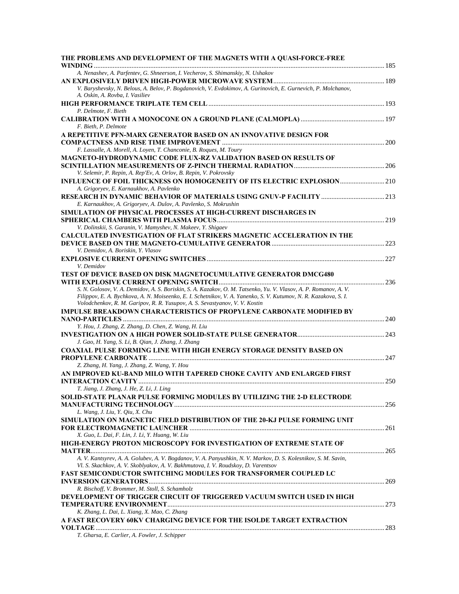| THE PROBLEMS AND DEVELOPMENT OF THE MAGNETS WITH A QUASI-FORCE-FREE                                                                                                                                 |  |
|-----------------------------------------------------------------------------------------------------------------------------------------------------------------------------------------------------|--|
| A. Nenashev, A. Parfentev, G. Shneerson, I. Vecherov, S. Shimanskiy, N. Ushakov                                                                                                                     |  |
|                                                                                                                                                                                                     |  |
| V. Baryshevsky, N. Belous, A. Belov, P. Bogdanovich, V. Evdokimov, A. Gurinovich, E. Gurnevich, P. Molchanov,<br>A. Oskin, A. Rovba, I. Vasiliev                                                    |  |
| P. Delmote, F. Bieth                                                                                                                                                                                |  |
| F. Bieth, P. Delmote                                                                                                                                                                                |  |
| A REPETITIVE PFN-MARX GENERATOR BASED ON AN INNOVATIVE DESIGN FOR                                                                                                                                   |  |
|                                                                                                                                                                                                     |  |
| F. Lassalle, A. Morell, A. Loyen, T. Chanconie, B. Roques, M. Toury                                                                                                                                 |  |
| MAGNETO-HYDRODYNAMIC CODE FLUX-RZ VALIDATION BASED ON RESULTS OF                                                                                                                                    |  |
| V. Selemir, P. Repin, A. Rep'Ev, A. Orlov, B. Repin, V. Pokrovsky<br>INFLUENCE OF FOIL THICKNESS ON HOMOGENEITY OF ITS ELECTRIC EXPLOSION 210                                                       |  |
| A. Grigoryev, E. Karnaukhov, A. Pavlenko                                                                                                                                                            |  |
| E. Karnaukhov, A. Grigoryev, A. Dulov, A. Pavlenko, S. Mokrushin                                                                                                                                    |  |
| <b>SIMULATION OF PHYSICAL PROCESSES AT HIGH-CURRENT DISCHARGES IN</b>                                                                                                                               |  |
|                                                                                                                                                                                                     |  |
| V. Dolinskii, S. Garanin, V. Mamyshev, N. Makeev, Y. Shigaev                                                                                                                                        |  |
| CALCULATED INVESTIGATION OF FLAT STRIKERS MAGNETIC ACCELERATION IN THE                                                                                                                              |  |
| V. Demidov, A. Boriskin, Y. Vlasov                                                                                                                                                                  |  |
|                                                                                                                                                                                                     |  |
| V. Demidov                                                                                                                                                                                          |  |
| <b>TEST OF DEVICE BASED ON DISK MAGNETOCUMULATIVE GENERATOR DMCG480</b>                                                                                                                             |  |
| S. N. Golosov, V. A. Demidov, A. S. Boriskin, S. A. Kazakov, O. M. Tatsenko, Yu. V. Vlasov, A. P. Romanov, A. V.                                                                                    |  |
| Filippov, E. A. Bychkova, A. N. Moiseenko, E. I. Schetnikov, V. A. Yanenko, S. V. Kutumov, N. R. Kazakova, S. I.<br>Volodchenkov, R. M. Garipov, R. R. Yusupov, A. S. Sevastyanov, V. V. Kostin     |  |
| <b>IMPULSE BREAKDOWN CHARACTERISTICS OF PROPYLENE CARBONATE MODIFIED BY</b>                                                                                                                         |  |
|                                                                                                                                                                                                     |  |
| Y. Hou, J. Zhang, Z. Zhang, D. Chen, Z. Wang, H. Liu                                                                                                                                                |  |
|                                                                                                                                                                                                     |  |
| J. Gao, H. Yang, S. Li, B. Qian, J. Zhang, J. Zhang                                                                                                                                                 |  |
| <b>COAXIAL PULSE FORMING LINE WITH HIGH ENERGY STORAGE DENSITY BASED ON</b>                                                                                                                         |  |
| Z. Zhang, H. Yang, J. Zhang, Z. Wang, Y. Hou                                                                                                                                                        |  |
| AN IMPROVED KU-BAND MILO WITH TAPERED CHOKE CAVITY AND ENLARGED FIRST                                                                                                                               |  |
|                                                                                                                                                                                                     |  |
| T. Jiang, J. Zhang, J. He, Z. Li, J. Ling                                                                                                                                                           |  |
| SOLID-STATE PLANAR PULSE FORMING MODULES BY UTILIZING THE 2-D ELECTRODE                                                                                                                             |  |
|                                                                                                                                                                                                     |  |
| L. Wang, J. Liu, Y. Qiu, X. Chu                                                                                                                                                                     |  |
| SIMULATION ON MAGNETIC FIELD DISTRIBUTION OF THE 20-KJ PULSE FORMING UNIT                                                                                                                           |  |
| X. Guo, L. Dai, F. Lin, J. Li, Y. Huang, W. Liu                                                                                                                                                     |  |
| HIGH-ENERGY PROTON MICROSCOPY FOR INVESTIGATION OF EXTREME STATE OF                                                                                                                                 |  |
|                                                                                                                                                                                                     |  |
| A. V. Kantsyrev, A. A. Golubev, A. V. Bogdanov, V. A. Panyushkin, N. V. Markov, D. S. Kolesnikov, S. M. Savin,<br>Vl. S. Skachkov, A. V. Skoblyakov, A. V. Bakhmutova, I. V. Roudskoy, D. Varentsov |  |
| <b>FAST SEMICONDUCTOR SWITCHING MODULES FOR TRANSFORMER COUPLED LC</b>                                                                                                                              |  |
|                                                                                                                                                                                                     |  |
| R. Bischoff, V. Brommer, M. Stoll, S. Schamholz                                                                                                                                                     |  |
| DEVELOPMENT OF TRIGGER CIRCUIT OF TRIGGERED VACUUM SWITCH USED IN HIGH                                                                                                                              |  |
| K. Zhang, L. Dai, L. Xiang, X. Mao, C. Zhang                                                                                                                                                        |  |
| A FAST RECOVERY 60KV CHARGING DEVICE FOR THE ISOLDE TARGET EXTRACTION                                                                                                                               |  |
|                                                                                                                                                                                                     |  |
|                                                                                                                                                                                                     |  |

*T. Gharsa, E. Carlier, A. Fowler, J. Schipper*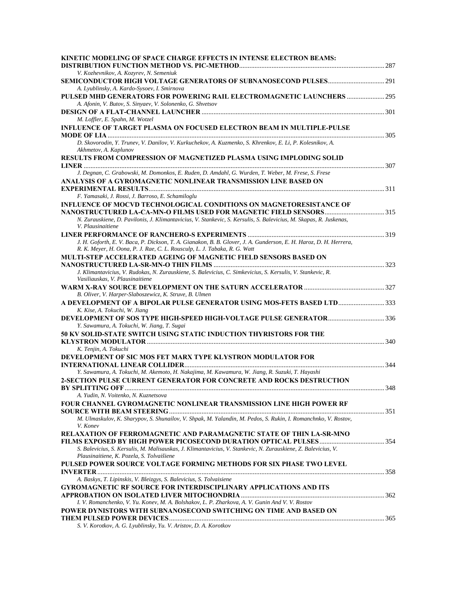| KINETIC MODELING OF SPACE CHARGE EFFECTS IN INTENSE ELECTRON BEAMS:                                                                         |     |
|---------------------------------------------------------------------------------------------------------------------------------------------|-----|
| V. Kozhevnikov, A. Kozyrev, N. Semeniuk                                                                                                     |     |
| A. Lyublinsky, A. Kardo-Sysoev, I. Smirnova                                                                                                 |     |
| <b>PULSED MHD GENERATORS FOR POWERING RAIL ELECTROMAGNETIC LAUNCHERS  295</b><br>A. Afonin, V. Butov, S. Sinyaev, V. Solonenko, G. Shvetsov |     |
|                                                                                                                                             |     |
| M. Loffler, E. Spahn, M. Wotzel                                                                                                             |     |
| INFLUENCE OF TARGET PLASMA ON FOCUSED ELECTRON BEAM IN MULTIPLE-PULSE                                                                       |     |
|                                                                                                                                             |     |
| D. Skovorodin, Y. Trunev, V. Danilov, V. Kurkuchekov, A. Kuzmenko, S. Khrenkov, E. Li, P. Kolesnikov, A.<br>Akhmetov, A. Kaplunov           |     |
| RESULTS FROM COMPRESSION OF MAGNETIZED PLASMA USING IMPLODING SOLID                                                                         |     |
|                                                                                                                                             |     |
| J. Degnan, C. Grabowski, M. Domonkos, E. Ruden, D. Amdahl, G. Wurden, T. Weber, M. Frese, S. Frese                                          |     |
| ANALYSIS OF A GYROMAGNETIC NONLINEAR TRANSMISSION LINE BASED ON                                                                             |     |
| F. Yamasaki, J. Rossi, J. Barroso, E. Schamiloglu                                                                                           |     |
| <b>INFLUENCE OF MOCVD TECHNOLOGICAL CONDITIONS ON MAGNETORESISTANCE OF</b>                                                                  |     |
|                                                                                                                                             |     |
| N. Zurauskiene, D. Pavilonis, J. Klimantavicius, V. Stankevic, S. Kersulis, S. Balevicius, M. Skapas, R. Juskenas,                          |     |
| V. Plausinaitiene                                                                                                                           |     |
|                                                                                                                                             |     |
| J. H. Goforth, E. V. Baca, P. Dickson, T. A. Gianakon, B. B. Glover, J. A. Gunderson, E. H. Haroz, D. H. Herrera,                           |     |
| R. K. Meyer, H. Oona, P. J. Rae, C. L. Rousculp, L. J. Tabaka, R. G. Watt                                                                   |     |
| <b>MULTI-STEP ACCELERATED AGEING OF MAGNETIC FIELD SENSORS BASED ON</b>                                                                     |     |
| J. Klimantavicius, V. Rudokas, N. Zurauskiene, S. Balevicius, C. Simkevicius, S. Kersulis, V. Stankevic, R.                                 |     |
| Vasiliauskas, V. Plausinaitiene                                                                                                             |     |
|                                                                                                                                             |     |
| B. Oliver, V. Harper-Slaboszewicz, K. Struve, B. Ulmen                                                                                      |     |
| A DEVELOPMENT OF A BIPOLAR PULSE GENERATOR USING MOS-FETS BASED LTD333                                                                      |     |
| K. Kise, A. Tokuchi, W. Jiang                                                                                                               |     |
|                                                                                                                                             |     |
| Y. Sawamura, A. Tokuchi, W. Jiang, T. Sugai                                                                                                 |     |
| 50 KV SOLID-STATE SWITCH USING STATIC INDUCTION THYRISTORS FOR THE                                                                          |     |
|                                                                                                                                             |     |
| K. Tenjin, A. Tokuchi<br>DEVELOPMENT OF SIC MOS FET MARX TYPE KLYSTRON MODULATOR FOR                                                        |     |
|                                                                                                                                             |     |
| Y. Sawamura, A. Tokuchi, M. Akemoto, H. Nakajima, M. Kawamura, W. Jiang, R. Suzuki, T. Hayashi                                              |     |
| <b>2-SECTION PULSE CURRENT GENERATOR FOR CONCRETE AND ROCKS DESTRUCTION</b>                                                                 |     |
|                                                                                                                                             | 348 |
| A. Yudin, N. Voitenko, N. Kuznetsova                                                                                                        |     |
| FOUR CHANNEL GYROMAGNETIC NONLINEAR TRANSMISSION LINE HIGH POWER RF                                                                         |     |
|                                                                                                                                             |     |
| M. Ulmaskulov, K. Sharypov, S. Shunailov, V. Shpak, M. Yalandin, M. Pedos, S. Rukin, I. Romanchnko, V. Rostov,                              |     |
| V. Konev                                                                                                                                    |     |
| RELAXATION OF FERROMAGNETIC AND PARAMAGNETIC STATE OF THIN LA-SR-MNO                                                                        |     |
| S. Balevicius, S. Kersulis, M. Malisauskas, J. Klimantavicius, V. Stankevic, N. Zurauskiene, Z. Balevicius, V.                              |     |
| Plausinaitiene, K. Pozela, S. Tolvaišiene                                                                                                   |     |
| PULSED POWER SOURCE VOLTAGE FORMING METHODS FOR SIX PHASE TWO LEVEL                                                                         |     |
|                                                                                                                                             |     |
| A. Baskys, T. Lipinskis, V. Bleizgys, S. Balevicius, S. Tolvaisiene                                                                         |     |
| <b>GYROMAGNETIC RF SOURCE FOR INTERDISCIPLINARY APPLICATIONS AND ITS</b>                                                                    |     |
|                                                                                                                                             |     |
| I. V. Romanchenko, V. Yu. Konev, M. A. Bolshakov, L. P. Zharkova, A. V. Gunin And V. V. Rostov                                              |     |
| POWER DYNISTORS WITH SUBNANOSECOND SWITCHING ON TIME AND BASED ON                                                                           |     |
|                                                                                                                                             |     |
| S. V. Korotkov, A. G. Lyublinsky, Yu. V. Aristov, D. A. Korotkov                                                                            |     |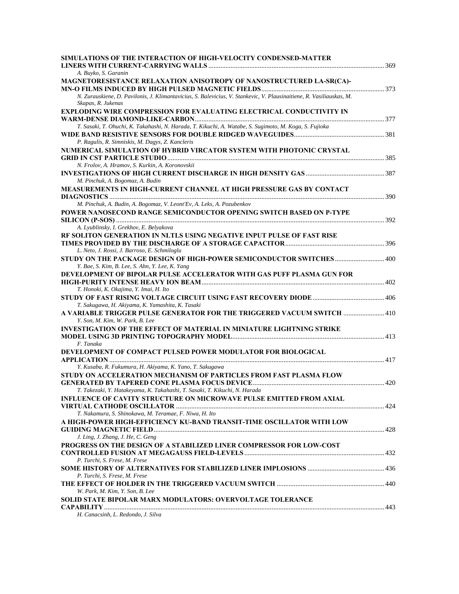| SIMULATIONS OF THE INTERACTION OF HIGH-VELOCITY CONDENSED-MATTER                                                     |  |
|----------------------------------------------------------------------------------------------------------------------|--|
|                                                                                                                      |  |
| A. Buyko, S. Garanin                                                                                                 |  |
| <b>MAGNETORESISTANCE RELAXATION ANISOTROPY OF NANOSTRUCTURED LA-SR(CA)-</b>                                          |  |
|                                                                                                                      |  |
| N. Zurauskiene, D. Pavilonis, J. Klimantavicius, S. Balevicius, V. Stankevic, V. Plausinaitiene, R. Vasiliauskas, M. |  |
| Skapas, R. Jukenas                                                                                                   |  |
| <b>EXPLODING WIRE COMPRESSION FOR EVALUATING ELECTRICAL CONDUCTIVITY IN</b>                                          |  |
|                                                                                                                      |  |
| T. Sasaki, T. Ohuchi, K. Takahashi, N. Harada, T. Kikuchi, A. Watabe, S. Sugimoto, M. Koga, S. Fujioka               |  |
|                                                                                                                      |  |
| P. Ragulis, R. Simniskis, M. Dagys, Z. Kancleris                                                                     |  |
| NUMERICAL SIMULATION OF HYBRID VIRCATOR SYSTEM WITH PHOTONIC CRYSTAL                                                 |  |
|                                                                                                                      |  |
| N. Frolov, A. Hramov, S. Kurkin, A. Koronovskii                                                                      |  |
|                                                                                                                      |  |
| M. Pinchuk, A. Bogomaz, A. Budin                                                                                     |  |
| MEASUREMENTS IN HIGH-CURRENT CHANNEL AT HIGH PRESSURE GAS BY CONTACT                                                 |  |
|                                                                                                                      |  |
| M. Pinchuk, A. Budin, A. Bogomaz, V. Leont'Ev, A. Leks, A. Pozubenkov                                                |  |
| POWER NANOSECOND RANGE SEMICONDUCTOR OPENING SWITCH BASED ON P-TYPE                                                  |  |
|                                                                                                                      |  |
| A. Lyublinsky, I. Grekhov, E. Belyakova                                                                              |  |
| RF SOLITON GENERATION IN NLTLS USING NEGATIVE INPUT PULSE OF FAST RISE                                               |  |
|                                                                                                                      |  |
| L. Neto, J. Rossi, J. Barroso, E. Schmiloglu                                                                         |  |
| STUDY ON THE PACKAGE DESIGN OF HIGH-POWER SEMICONDUCTOR SWITCHES 400                                                 |  |
| Y. Bae, S. Kim, B. Lee, S. Ahn, Y. Lee, K. Yang                                                                      |  |
| DEVELOPMENT OF BIPOLAR PULSE ACCELERATOR WITH GAS PUFF PLASMA GUN FOR                                                |  |
|                                                                                                                      |  |
| T. Honoki, K. Okajima, Y. Imai, H. Ito                                                                               |  |
|                                                                                                                      |  |
| T. Sakugawa, H. Akiyama, K. Yamashita, K. Tasaki                                                                     |  |
| A VARIABLE TRIGGER PULSE GENERATOR FOR THE TRIGGERED VACUUM SWITCH  410                                              |  |
| Y. Son, M. Kim, W. Park, B. Lee                                                                                      |  |
| <b>INVESTIGATION OF THE EFFECT OF MATERIAL IN MINIATURE LIGHTNING STRIKE</b>                                         |  |
|                                                                                                                      |  |
| F. Tanaka                                                                                                            |  |
| DEVELOPMENT OF COMPACT PULSED POWER MODULATOR FOR BIOLOGICAL                                                         |  |
|                                                                                                                      |  |
| Y. Kusaba, R. Fukumura, H. Akiyama, K. Yano, T. Sakugawa                                                             |  |
| STUDY ON ACCELERATION MECHANISM OF PARTICLES FROM FAST PLASMA FLOW                                                   |  |
|                                                                                                                      |  |
| T. Takezaki, Y. Hatakeyama, K. Takahashi, T. Sasaki, T. Kikuchi, N. Harada                                           |  |
| <b>INFLUENCE OF CAVITY STRUCTURE ON MICROWAVE PULSE EMITTED FROM AXIAL</b>                                           |  |
|                                                                                                                      |  |
| T. Nakamura, S. Shinokawa, M. Teramae, F. Niwa, H. Ito                                                               |  |
| A HIGH-POWER HIGH-EFFICIENCY KU-BAND TRANSIT-TIME OSCILLATOR WITH LOW                                                |  |
|                                                                                                                      |  |
| J. Ling, J. Zhang, J. He, C. Geng                                                                                    |  |
| PROGRESS ON THE DESIGN OF A STABILIZED LINER COMPRESSOR FOR LOW-COST                                                 |  |
|                                                                                                                      |  |
| P. Turchi, S. Frese, M. Frese                                                                                        |  |
|                                                                                                                      |  |
| P. Turchi, S. Frese, M. Frese                                                                                        |  |
|                                                                                                                      |  |
| W. Park, M. Kim, Y. Son, B. Lee                                                                                      |  |
| <b>SOLID STATE BIPOLAR MARX MODULATORS: OVERVOLTAGE TOLERANCE</b>                                                    |  |
|                                                                                                                      |  |
| H. Canacsinh, L. Redondo, J. Silva                                                                                   |  |
|                                                                                                                      |  |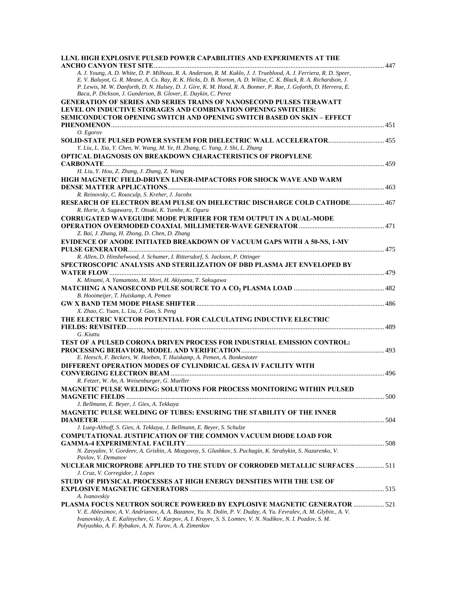| A. J. Young, A. D. White, D. P. Milhous, R. A. Anderson, R. M. Kuklo, J. J. Trueblood, A. J. Ferriera, R. D. Speer,<br>E. V. Baluyot, G. R. Mease, A. Cs. Ray, R. K. Hicks, D. B. Norton, A. D. Wiltse, C. K. Black, R. A. Richardson, J.<br>P. Lewis, M. W. Danforth, D. N. Hulsey, D. J. Gire, K. M. Hood, R. A. Bonner, P. Rae, J. Goforth, D. Herrera, E.<br>Baca, P. Dickson, J. Gunderson, B. Glover, E. Daykin, C. Perez<br><b>GENERATION OF SERIES AND SERIES TRAINS OF NANOSECOND PULSES TERAWATT</b><br>LEVEL ON INDUCTIVE STORAGES AND COMBINATION OPENING SWITCHES:<br><b>SEMICONDUCTOR OPENING SWITCH AND OPENING SWITCH BASED ON SKIN – EFFECT</b><br>O. Egorov<br>SOLID-STATE PULSED POWER SYSTEM FOR DIELECTRIC WALL ACCELERATOR 455<br>Y. Liu, L. Xia, Y. Chen, W. Wang, M. Ye, H. Zhang, C. Yang, J. Shi, L. Zhang<br><b>OPTICAL DIAGNOSIS ON BREAKDOWN CHARACTERISTICS OF PROPYLENE</b><br>H. Liu, Y. Hou, Z. Zhang, J. Zhang, Z. Wang<br>HIGH MAGNETIC FIELD-DRIVEN LINER-IMPACTORS FOR SHOCK WAVE AND WARM<br>R. Reinovsky, C. Rousculp, S. Kreher, J. Jacobs<br>RESEARCH OF ELECTRON BEAM PULSE ON DIELECTRIC DISCHARGE COLD CATHODE 467<br>R. Horie, A. Sugawara, T. Otsuki, K. Yambe, K. Ogura<br><b>CORRUGATED WAVEGUIDE MODE PURIFIER FOR TEM OUTPUT IN A DUAL-MODE</b><br>Z. Bai, J. Zhang, H. Zhong, D. Chen, D. Zhang<br>EVIDENCE OF ANODE INITIATED BREAKDOWN OF VACUUM GAPS WITH A 50-NS, 1-MV<br>R. Allen, D. Hinshelwood, J. Schumer, I. Rittersdorf, S. Jackson, P. Ottinger<br>SPECTROSCOPIC ANALYSIS AND STERILIZATION OF DBD PLASMA JET ENVELOPED BY<br>K. Minami, A. Yamamoto, M. Mori, H. Akiyama, T. Sakugawa<br>B. Hooimeijer, T. Huiskamp, A. Pemen<br>X. Zhao, C. Yuan, L. Liu, J. Gao, S. Peng<br>THE ELECTRIC VECTOR POTENTIAL FOR CALCULATING INDUCTIVE ELECTRIC<br>G. Kiuttu<br>TEST OF A PULSED CORONA DRIVEN PROCESS FOR INDUSTRIAL EMISSION CONTROL:<br>E. Heesch, F. Beckers, W. Hoeben, T. Huiskamp, A. Pemen, A. Bonkestoter<br>DIFFERENT OPERATION MODES OF CYLINDRICAL GESA IV FACILITY WITH<br>R. Fetzer, W. An, A. Weisenburger, G. Mueller<br>MAGNETIC PULSE WELDING: SOLUTIONS FOR PROCESS MONITORING WITHIN PULSED<br>J. Bellmann, E. Beyer, J. Gies, A. Tekkaya<br>MAGNETIC PULSE WELDING OF TUBES: ENSURING THE STABILITY OF THE INNER<br>J. Lueg-Althoff, S. Gies, A. Tekkaya, J. Bellmann, E. Beyer, S. Schulze<br><b>COMPUTATIONAL JUSTIFICATION OF THE COMMON VACUUM DIODE LOAD FOR</b><br>N. Zavyalov, V. Gordeev, A. Grishin, A. Mozgovoy, S. Glushkov, S. Puchagin, K. Strabykin, S. Nazarenko, V.<br>Pavlov, V. Demanov<br><b>NUCLEAR MICROPROBE APPLIED TO THE STUDY OF CORRODED METALLIC SURFACES  511</b><br>J. Cruz, V. Corregidor, J. Lopes<br>STUDY OF PHYSICAL PROCESSES AT HIGH ENERGY DENSITIES WITH THE USE OF<br>A. Ivanovskiy<br><b>PLASMA FOCUS NEUTRON SOURCE POWERED BY EXPLOSIVE MAGNETIC GENERATOR  521</b><br>V. E. Ablesimov, A. V. Andrianov, A. A. Bazanov, Yu. N. Dolin, P. V. Duday, A. Yu. Fevralev, A. M. Glybin., A. V.<br>Ivanovskiy, A. E. Kalinychev, G. V. Karpov, A. I. Krayev, S. S. Lomtev, V. N. Nudikov, N. I. Pozdov, S. M. | LLNL HIGH EXPLOSIVE PULSED POWER CAPABILITIES AND EXPERIMENTS AT THE |  |
|---------------------------------------------------------------------------------------------------------------------------------------------------------------------------------------------------------------------------------------------------------------------------------------------------------------------------------------------------------------------------------------------------------------------------------------------------------------------------------------------------------------------------------------------------------------------------------------------------------------------------------------------------------------------------------------------------------------------------------------------------------------------------------------------------------------------------------------------------------------------------------------------------------------------------------------------------------------------------------------------------------------------------------------------------------------------------------------------------------------------------------------------------------------------------------------------------------------------------------------------------------------------------------------------------------------------------------------------------------------------------------------------------------------------------------------------------------------------------------------------------------------------------------------------------------------------------------------------------------------------------------------------------------------------------------------------------------------------------------------------------------------------------------------------------------------------------------------------------------------------------------------------------------------------------------------------------------------------------------------------------------------------------------------------------------------------------------------------------------------------------------------------------------------------------------------------------------------------------------------------------------------------------------------------------------------------------------------------------------------------------------------------------------------------------------------------------------------------------------------------------------------------------------------------------------------------------------------------------------------------------------------------------------------------------------------------------------------------------------------------------------------------------------------------------------------------------------------------------------------------------------------------------------------------------------------------------------------------------------------------------------------------------------------------------------------------------------------------------------------------------------------|----------------------------------------------------------------------|--|
|                                                                                                                                                                                                                                                                                                                                                                                                                                                                                                                                                                                                                                                                                                                                                                                                                                                                                                                                                                                                                                                                                                                                                                                                                                                                                                                                                                                                                                                                                                                                                                                                                                                                                                                                                                                                                                                                                                                                                                                                                                                                                                                                                                                                                                                                                                                                                                                                                                                                                                                                                                                                                                                                                                                                                                                                                                                                                                                                                                                                                                                                                                                                       |                                                                      |  |
|                                                                                                                                                                                                                                                                                                                                                                                                                                                                                                                                                                                                                                                                                                                                                                                                                                                                                                                                                                                                                                                                                                                                                                                                                                                                                                                                                                                                                                                                                                                                                                                                                                                                                                                                                                                                                                                                                                                                                                                                                                                                                                                                                                                                                                                                                                                                                                                                                                                                                                                                                                                                                                                                                                                                                                                                                                                                                                                                                                                                                                                                                                                                       |                                                                      |  |
|                                                                                                                                                                                                                                                                                                                                                                                                                                                                                                                                                                                                                                                                                                                                                                                                                                                                                                                                                                                                                                                                                                                                                                                                                                                                                                                                                                                                                                                                                                                                                                                                                                                                                                                                                                                                                                                                                                                                                                                                                                                                                                                                                                                                                                                                                                                                                                                                                                                                                                                                                                                                                                                                                                                                                                                                                                                                                                                                                                                                                                                                                                                                       |                                                                      |  |
|                                                                                                                                                                                                                                                                                                                                                                                                                                                                                                                                                                                                                                                                                                                                                                                                                                                                                                                                                                                                                                                                                                                                                                                                                                                                                                                                                                                                                                                                                                                                                                                                                                                                                                                                                                                                                                                                                                                                                                                                                                                                                                                                                                                                                                                                                                                                                                                                                                                                                                                                                                                                                                                                                                                                                                                                                                                                                                                                                                                                                                                                                                                                       |                                                                      |  |
|                                                                                                                                                                                                                                                                                                                                                                                                                                                                                                                                                                                                                                                                                                                                                                                                                                                                                                                                                                                                                                                                                                                                                                                                                                                                                                                                                                                                                                                                                                                                                                                                                                                                                                                                                                                                                                                                                                                                                                                                                                                                                                                                                                                                                                                                                                                                                                                                                                                                                                                                                                                                                                                                                                                                                                                                                                                                                                                                                                                                                                                                                                                                       |                                                                      |  |
|                                                                                                                                                                                                                                                                                                                                                                                                                                                                                                                                                                                                                                                                                                                                                                                                                                                                                                                                                                                                                                                                                                                                                                                                                                                                                                                                                                                                                                                                                                                                                                                                                                                                                                                                                                                                                                                                                                                                                                                                                                                                                                                                                                                                                                                                                                                                                                                                                                                                                                                                                                                                                                                                                                                                                                                                                                                                                                                                                                                                                                                                                                                                       |                                                                      |  |
|                                                                                                                                                                                                                                                                                                                                                                                                                                                                                                                                                                                                                                                                                                                                                                                                                                                                                                                                                                                                                                                                                                                                                                                                                                                                                                                                                                                                                                                                                                                                                                                                                                                                                                                                                                                                                                                                                                                                                                                                                                                                                                                                                                                                                                                                                                                                                                                                                                                                                                                                                                                                                                                                                                                                                                                                                                                                                                                                                                                                                                                                                                                                       |                                                                      |  |
|                                                                                                                                                                                                                                                                                                                                                                                                                                                                                                                                                                                                                                                                                                                                                                                                                                                                                                                                                                                                                                                                                                                                                                                                                                                                                                                                                                                                                                                                                                                                                                                                                                                                                                                                                                                                                                                                                                                                                                                                                                                                                                                                                                                                                                                                                                                                                                                                                                                                                                                                                                                                                                                                                                                                                                                                                                                                                                                                                                                                                                                                                                                                       |                                                                      |  |
|                                                                                                                                                                                                                                                                                                                                                                                                                                                                                                                                                                                                                                                                                                                                                                                                                                                                                                                                                                                                                                                                                                                                                                                                                                                                                                                                                                                                                                                                                                                                                                                                                                                                                                                                                                                                                                                                                                                                                                                                                                                                                                                                                                                                                                                                                                                                                                                                                                                                                                                                                                                                                                                                                                                                                                                                                                                                                                                                                                                                                                                                                                                                       |                                                                      |  |
|                                                                                                                                                                                                                                                                                                                                                                                                                                                                                                                                                                                                                                                                                                                                                                                                                                                                                                                                                                                                                                                                                                                                                                                                                                                                                                                                                                                                                                                                                                                                                                                                                                                                                                                                                                                                                                                                                                                                                                                                                                                                                                                                                                                                                                                                                                                                                                                                                                                                                                                                                                                                                                                                                                                                                                                                                                                                                                                                                                                                                                                                                                                                       |                                                                      |  |
|                                                                                                                                                                                                                                                                                                                                                                                                                                                                                                                                                                                                                                                                                                                                                                                                                                                                                                                                                                                                                                                                                                                                                                                                                                                                                                                                                                                                                                                                                                                                                                                                                                                                                                                                                                                                                                                                                                                                                                                                                                                                                                                                                                                                                                                                                                                                                                                                                                                                                                                                                                                                                                                                                                                                                                                                                                                                                                                                                                                                                                                                                                                                       |                                                                      |  |
|                                                                                                                                                                                                                                                                                                                                                                                                                                                                                                                                                                                                                                                                                                                                                                                                                                                                                                                                                                                                                                                                                                                                                                                                                                                                                                                                                                                                                                                                                                                                                                                                                                                                                                                                                                                                                                                                                                                                                                                                                                                                                                                                                                                                                                                                                                                                                                                                                                                                                                                                                                                                                                                                                                                                                                                                                                                                                                                                                                                                                                                                                                                                       |                                                                      |  |
|                                                                                                                                                                                                                                                                                                                                                                                                                                                                                                                                                                                                                                                                                                                                                                                                                                                                                                                                                                                                                                                                                                                                                                                                                                                                                                                                                                                                                                                                                                                                                                                                                                                                                                                                                                                                                                                                                                                                                                                                                                                                                                                                                                                                                                                                                                                                                                                                                                                                                                                                                                                                                                                                                                                                                                                                                                                                                                                                                                                                                                                                                                                                       |                                                                      |  |
|                                                                                                                                                                                                                                                                                                                                                                                                                                                                                                                                                                                                                                                                                                                                                                                                                                                                                                                                                                                                                                                                                                                                                                                                                                                                                                                                                                                                                                                                                                                                                                                                                                                                                                                                                                                                                                                                                                                                                                                                                                                                                                                                                                                                                                                                                                                                                                                                                                                                                                                                                                                                                                                                                                                                                                                                                                                                                                                                                                                                                                                                                                                                       |                                                                      |  |
|                                                                                                                                                                                                                                                                                                                                                                                                                                                                                                                                                                                                                                                                                                                                                                                                                                                                                                                                                                                                                                                                                                                                                                                                                                                                                                                                                                                                                                                                                                                                                                                                                                                                                                                                                                                                                                                                                                                                                                                                                                                                                                                                                                                                                                                                                                                                                                                                                                                                                                                                                                                                                                                                                                                                                                                                                                                                                                                                                                                                                                                                                                                                       |                                                                      |  |
|                                                                                                                                                                                                                                                                                                                                                                                                                                                                                                                                                                                                                                                                                                                                                                                                                                                                                                                                                                                                                                                                                                                                                                                                                                                                                                                                                                                                                                                                                                                                                                                                                                                                                                                                                                                                                                                                                                                                                                                                                                                                                                                                                                                                                                                                                                                                                                                                                                                                                                                                                                                                                                                                                                                                                                                                                                                                                                                                                                                                                                                                                                                                       |                                                                      |  |
|                                                                                                                                                                                                                                                                                                                                                                                                                                                                                                                                                                                                                                                                                                                                                                                                                                                                                                                                                                                                                                                                                                                                                                                                                                                                                                                                                                                                                                                                                                                                                                                                                                                                                                                                                                                                                                                                                                                                                                                                                                                                                                                                                                                                                                                                                                                                                                                                                                                                                                                                                                                                                                                                                                                                                                                                                                                                                                                                                                                                                                                                                                                                       |                                                                      |  |
|                                                                                                                                                                                                                                                                                                                                                                                                                                                                                                                                                                                                                                                                                                                                                                                                                                                                                                                                                                                                                                                                                                                                                                                                                                                                                                                                                                                                                                                                                                                                                                                                                                                                                                                                                                                                                                                                                                                                                                                                                                                                                                                                                                                                                                                                                                                                                                                                                                                                                                                                                                                                                                                                                                                                                                                                                                                                                                                                                                                                                                                                                                                                       |                                                                      |  |
|                                                                                                                                                                                                                                                                                                                                                                                                                                                                                                                                                                                                                                                                                                                                                                                                                                                                                                                                                                                                                                                                                                                                                                                                                                                                                                                                                                                                                                                                                                                                                                                                                                                                                                                                                                                                                                                                                                                                                                                                                                                                                                                                                                                                                                                                                                                                                                                                                                                                                                                                                                                                                                                                                                                                                                                                                                                                                                                                                                                                                                                                                                                                       |                                                                      |  |
|                                                                                                                                                                                                                                                                                                                                                                                                                                                                                                                                                                                                                                                                                                                                                                                                                                                                                                                                                                                                                                                                                                                                                                                                                                                                                                                                                                                                                                                                                                                                                                                                                                                                                                                                                                                                                                                                                                                                                                                                                                                                                                                                                                                                                                                                                                                                                                                                                                                                                                                                                                                                                                                                                                                                                                                                                                                                                                                                                                                                                                                                                                                                       |                                                                      |  |
|                                                                                                                                                                                                                                                                                                                                                                                                                                                                                                                                                                                                                                                                                                                                                                                                                                                                                                                                                                                                                                                                                                                                                                                                                                                                                                                                                                                                                                                                                                                                                                                                                                                                                                                                                                                                                                                                                                                                                                                                                                                                                                                                                                                                                                                                                                                                                                                                                                                                                                                                                                                                                                                                                                                                                                                                                                                                                                                                                                                                                                                                                                                                       |                                                                      |  |
|                                                                                                                                                                                                                                                                                                                                                                                                                                                                                                                                                                                                                                                                                                                                                                                                                                                                                                                                                                                                                                                                                                                                                                                                                                                                                                                                                                                                                                                                                                                                                                                                                                                                                                                                                                                                                                                                                                                                                                                                                                                                                                                                                                                                                                                                                                                                                                                                                                                                                                                                                                                                                                                                                                                                                                                                                                                                                                                                                                                                                                                                                                                                       |                                                                      |  |
|                                                                                                                                                                                                                                                                                                                                                                                                                                                                                                                                                                                                                                                                                                                                                                                                                                                                                                                                                                                                                                                                                                                                                                                                                                                                                                                                                                                                                                                                                                                                                                                                                                                                                                                                                                                                                                                                                                                                                                                                                                                                                                                                                                                                                                                                                                                                                                                                                                                                                                                                                                                                                                                                                                                                                                                                                                                                                                                                                                                                                                                                                                                                       |                                                                      |  |
|                                                                                                                                                                                                                                                                                                                                                                                                                                                                                                                                                                                                                                                                                                                                                                                                                                                                                                                                                                                                                                                                                                                                                                                                                                                                                                                                                                                                                                                                                                                                                                                                                                                                                                                                                                                                                                                                                                                                                                                                                                                                                                                                                                                                                                                                                                                                                                                                                                                                                                                                                                                                                                                                                                                                                                                                                                                                                                                                                                                                                                                                                                                                       |                                                                      |  |
|                                                                                                                                                                                                                                                                                                                                                                                                                                                                                                                                                                                                                                                                                                                                                                                                                                                                                                                                                                                                                                                                                                                                                                                                                                                                                                                                                                                                                                                                                                                                                                                                                                                                                                                                                                                                                                                                                                                                                                                                                                                                                                                                                                                                                                                                                                                                                                                                                                                                                                                                                                                                                                                                                                                                                                                                                                                                                                                                                                                                                                                                                                                                       |                                                                      |  |
|                                                                                                                                                                                                                                                                                                                                                                                                                                                                                                                                                                                                                                                                                                                                                                                                                                                                                                                                                                                                                                                                                                                                                                                                                                                                                                                                                                                                                                                                                                                                                                                                                                                                                                                                                                                                                                                                                                                                                                                                                                                                                                                                                                                                                                                                                                                                                                                                                                                                                                                                                                                                                                                                                                                                                                                                                                                                                                                                                                                                                                                                                                                                       |                                                                      |  |
|                                                                                                                                                                                                                                                                                                                                                                                                                                                                                                                                                                                                                                                                                                                                                                                                                                                                                                                                                                                                                                                                                                                                                                                                                                                                                                                                                                                                                                                                                                                                                                                                                                                                                                                                                                                                                                                                                                                                                                                                                                                                                                                                                                                                                                                                                                                                                                                                                                                                                                                                                                                                                                                                                                                                                                                                                                                                                                                                                                                                                                                                                                                                       |                                                                      |  |
|                                                                                                                                                                                                                                                                                                                                                                                                                                                                                                                                                                                                                                                                                                                                                                                                                                                                                                                                                                                                                                                                                                                                                                                                                                                                                                                                                                                                                                                                                                                                                                                                                                                                                                                                                                                                                                                                                                                                                                                                                                                                                                                                                                                                                                                                                                                                                                                                                                                                                                                                                                                                                                                                                                                                                                                                                                                                                                                                                                                                                                                                                                                                       |                                                                      |  |
|                                                                                                                                                                                                                                                                                                                                                                                                                                                                                                                                                                                                                                                                                                                                                                                                                                                                                                                                                                                                                                                                                                                                                                                                                                                                                                                                                                                                                                                                                                                                                                                                                                                                                                                                                                                                                                                                                                                                                                                                                                                                                                                                                                                                                                                                                                                                                                                                                                                                                                                                                                                                                                                                                                                                                                                                                                                                                                                                                                                                                                                                                                                                       |                                                                      |  |
|                                                                                                                                                                                                                                                                                                                                                                                                                                                                                                                                                                                                                                                                                                                                                                                                                                                                                                                                                                                                                                                                                                                                                                                                                                                                                                                                                                                                                                                                                                                                                                                                                                                                                                                                                                                                                                                                                                                                                                                                                                                                                                                                                                                                                                                                                                                                                                                                                                                                                                                                                                                                                                                                                                                                                                                                                                                                                                                                                                                                                                                                                                                                       |                                                                      |  |
|                                                                                                                                                                                                                                                                                                                                                                                                                                                                                                                                                                                                                                                                                                                                                                                                                                                                                                                                                                                                                                                                                                                                                                                                                                                                                                                                                                                                                                                                                                                                                                                                                                                                                                                                                                                                                                                                                                                                                                                                                                                                                                                                                                                                                                                                                                                                                                                                                                                                                                                                                                                                                                                                                                                                                                                                                                                                                                                                                                                                                                                                                                                                       |                                                                      |  |

*Polyushko, A. F. Rybakov, A. N. Turov, A. A. Zimenkov*